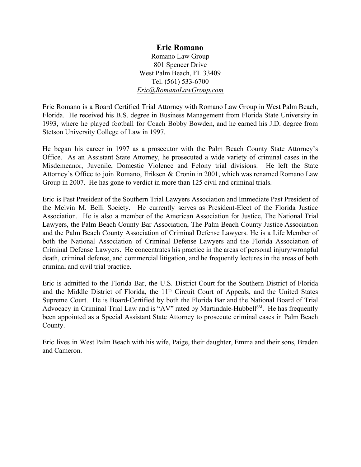# **Eric Romano**

Romano Law Group 801 Spencer Drive West Palm Beach, FL 33409 Tel. (561) 533-6700 *[Eric@RomanoLawGroup.com](mailto:Eric@RomanoLawGroup.com)*

Eric Romano is a Board Certified Trial Attorney with Romano Law Group in West Palm Beach, Florida. He received his B.S. degree in Business Management from Florida State University in 1993, where he played football for Coach Bobby Bowden, and he earned his J.D. degree from Stetson University College of Law in 1997.

He began his career in 1997 as a prosecutor with the Palm Beach County State Attorney's Office. As an Assistant State Attorney, he prosecuted a wide variety of criminal cases in the Misdemeanor, Juvenile, Domestic Violence and Felony trial divisions. He left the State Attorney's Office to join Romano, Eriksen & Cronin in 2001, which was renamed Romano Law Group in 2007. He has gone to verdict in more than 125 civil and criminal trials.

Eric is Past President of the Southern Trial Lawyers Association and Immediate Past President of the Melvin M. Belli Society. He currently serves as President-Elect of the Florida Justice Association. He is also a member of the American Association for Justice, The National Trial Lawyers, the Palm Beach County Bar Association, The Palm Beach County Justice Association and the Palm Beach County Association of Criminal Defense Lawyers. He is a Life Member of both the National Association of Criminal Defense Lawyers and the Florida Association of Criminal Defense Lawyers. He concentrates his practice in the areas of personal injury/wrongful death, criminal defense, and commercial litigation, and he frequently lectures in the areas of both criminal and civil trial practice.

Eric is admitted to the Florida Bar, the U.S. District Court for the Southern District of Florida and the Middle District of Florida, the  $11<sup>th</sup>$  Circuit Court of Appeals, and the United States Supreme Court. He is Board-Certified by both the Florida Bar and the National Board of Trial Advocacy in Criminal Trial Law and is "AV" rated by Martindale-Hubbell<sup>SM</sup>. He has frequently been appointed as a Special Assistant State Attorney to prosecute criminal cases in Palm Beach County.

Eric lives in West Palm Beach with his wife, Paige, their daughter, Emma and their sons, Braden and Cameron.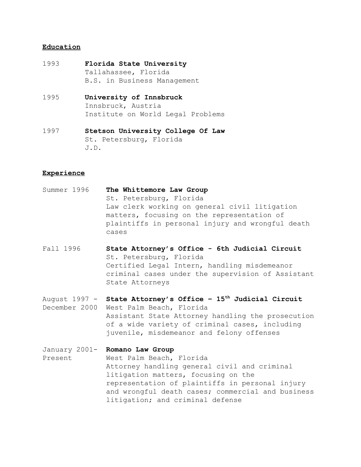#### **Education**

- 1993 **Florida State University** Tallahassee, Florida B.S. in Business Management
- 1995 **University of Innsbruck** Innsbruck, Austria Institute on World Legal Problems
- 1997 **Stetson University College Of Law** St. Petersburg, Florida J.D.

#### **Experience**

- Summer 1996 **The Whittemore Law Group** St. Petersburg, Florida Law clerk working on general civil litigation matters, focusing on the representation of plaintiffs in personal injury and wrongful death cases
- Fall 1996 **State Attorney's Office 6th Judicial Circuit** St. Petersburg, Florida Certified Legal Intern, handling misdemeanor criminal cases under the supervision of Assistant State Attorneys
- August 1997 **State Attorney's Office 15th Judicial Circuit** December 2000 West Palm Beach, Florida Assistant State Attorney handling the prosecution of a wide variety of criminal cases, including juvenile, misdemeanor and felony offenses
- January 2001- **Romano Law Group** Present West Palm Beach, Florida Attorney handling general civil and criminal litigation matters, focusing on the representation of plaintiffs in personal injury and wrongful death cases; commercial and business litigation; and criminal defense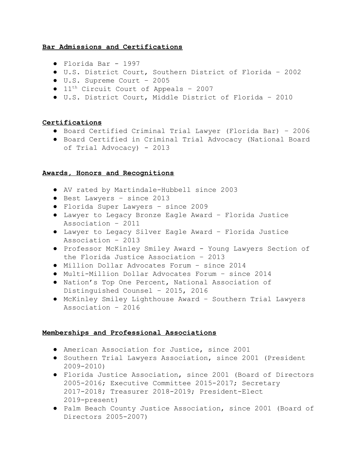### **Bar Admissions and Certifications**

- Florida Bar 1997
- U.S. District Court, Southern District of Florida 2002
- U.S. Supreme Court 2005
- $\bullet$  11<sup>th</sup> Circuit Court of Appeals 2007
- U.S. District Court, Middle District of Florida 2010

### **Certifications**

- Board Certified Criminal Trial Lawyer (Florida Bar) 2006
- Board Certified in Criminal Trial Advocacy (National Board of Trial Advocacy) - 2013

### **Awards, Honors and Recognitions**

- AV rated by Martindale-Hubbell since 2003
- Best Lawyers since 2013
- Florida Super Lawyers since 2009
- Lawyer to Legacy Bronze Eagle Award Florida Justice Association – 2011
- Lawyer to Legacy Silver Eagle Award Florida Justice Association – 2013
- Professor McKinley Smiley Award Young Lawyers Section of the Florida Justice Association – 2013
- Million Dollar Advocates Forum since 2014
- Multi-Million Dollar Advocates Forum since 2014
- Nation's Top One Percent, National Association of Distinguished Counsel – 2015, 2016
- McKinley Smiley Lighthouse Award Southern Trial Lawyers Association – 2016

### **Memberships and Professional Associations**

- American Association for Justice, since 2001
- Southern Trial Lawyers Association, since 2001 (President 2009-2010)
- Florida Justice Association, since 2001 (Board of Directors 2005-2016; Executive Committee 2015-2017; Secretary 2017-2018; Treasurer 2018-2019; President-Elect 2019-present)
- Palm Beach County Justice Association, since 2001 (Board of Directors 2005-2007)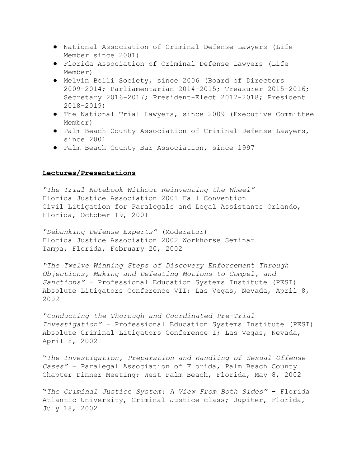- National Association of Criminal Defense Lawyers (Life Member since 2001)
- Florida Association of Criminal Defense Lawyers (Life Member)
- Melvin Belli Society, since 2006 (Board of Directors 2009-2014; Parliamentarian 2014-2015; Treasurer 2015-2016; Secretary 2016-2017; President-Elect 2017-2018; President 2018-2019)
- The National Trial Lawyers, since 2009 (Executive Committee Member)
- Palm Beach County Association of Criminal Defense Lawyers, since 2001
- Palm Beach County Bar Association, since 1997

#### **Lectures/Presentations**

*"The Trial Notebook Without Reinventing the Wheel"* Florida Justice Association 2001 Fall Convention Civil Litigation for Paralegals and Legal Assistants Orlando, Florida, October 19, 2001

*"Debunking Defense Experts"* (Moderator) Florida Justice Association 2002 Workhorse Seminar Tampa, Florida, February 20, 2002

*"The Twelve Winning Steps of Discovery Enforcement Through Objections, Making and Defeating Motions to Compel, and Sanctions"* – Professional Education Systems Institute (PESI) Absolute Litigators Conference VII; Las Vegas, Nevada, April 8, 2002

*"Conducting the Thorough and Coordinated Pre-Trial Investigation" –* Professional Education Systems Institute (PESI) Absolute Criminal Litigators Conference I; Las Vegas, Nevada, April 8, 2002

"*The Investigation, Preparation and Handling of Sexual Offense Cases"* – Paralegal Association of Florida, Palm Beach County Chapter Dinner Meeting; West Palm Beach, Florida, May 8, 2002

"*The Criminal Justice System: A View From Both Sides"* – Florida Atlantic University, Criminal Justice class; Jupiter, Florida, July 18, 2002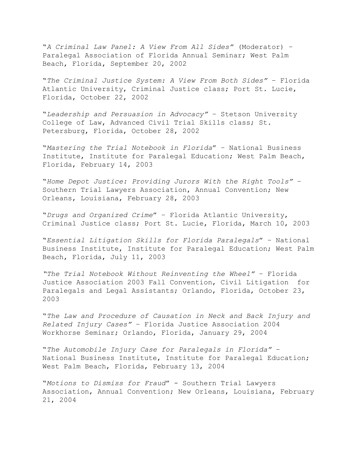"*A Criminal Law Panel: A View From All Sides"* (Moderator) – Paralegal Association of Florida Annual Seminar; West Palm Beach, Florida, September 20, 2002

"*The Criminal Justice System: A View From Both Sides"* – Florida Atlantic University, Criminal Justice class; Port St. Lucie, Florida, October 22, 2002

"*Leadership and Persuasion in Advocacy"* – Stetson University College of Law, Advanced Civil Trial Skills class; St. Petersburg, Florida, October 28, 2002

"*Mastering the Trial Notebook in Florida*" – National Business Institute, Institute for Paralegal Education; West Palm Beach, Florida, February 14, 2003

"*Home Depot Justice: Providing Jurors With the Right Tools"* – Southern Trial Lawyers Association, Annual Convention; New Orleans, Louisiana, February 28, 2003

"*Drugs and Organized Crime*" – Florida Atlantic University, Criminal Justice class; Port St. Lucie, Florida, March 10, 2003

"*Essential Litigation Skills for Florida Paralegals*" – National Business Institute, Institute for Paralegal Education; West Palm Beach, Florida, July 11, 2003

*"The Trial Notebook Without Reinventing the Wheel"* – Florida Justice Association 2003 Fall Convention, Civil Litigation for Paralegals and Legal Assistants; Orlando, Florida, October 23, 2003

"*The Law and Procedure of Causation in Neck and Back Injury and Related Injury Cases"* – Florida Justice Association 2004 Workhorse Seminar; Orlando, Florida, January 29, 2004

"*The Automobile Injury Case for Paralegals in Florida"* – National Business Institute, Institute for Paralegal Education; West Palm Beach, Florida, February 13, 2004

"*Motions to Dismiss for Fraud*" - Southern Trial Lawyers Association, Annual Convention; New Orleans, Louisiana, February 21, 2004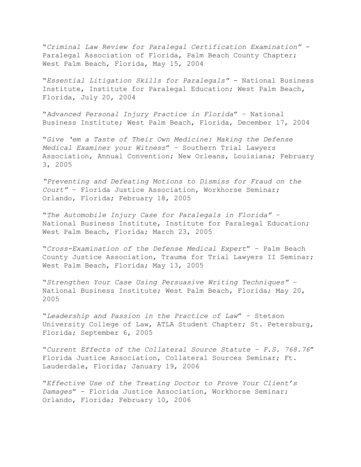"*Criminal Law Review for Paralegal Certification Examination"* - Paralegal Association of Florida, Palm Beach County Chapter; West Palm Beach, Florida, May 15, 2004

"*Essential Litigation Skills for Paralegals"* - National Business Institute, Institute for Paralegal Education; West Palm Beach, Florida, July 20, 2004

"*Advanced Personal Injury Practice in Florida*" – National Business Institute; West Palm Beach, Florida, December 17, 2004

"*Give 'em a Taste of Their Own Medicine: Making the Defense Medical Examiner your Witness*" – Southern Trial Lawyers Association, Annual Convention; New Orleans, Louisiana; February 3, 2005

*"Preventing and Defeating Motions to Dismiss for Fraud on the Court"* – Florida Justice Association, Workhorse Seminar; Orlando, Florida; February 18, 2005

"*The Automobile Injury Case for Paralegals in Florida"* – National Business Institute, Institute for Paralegal Education; West Palm Beach, Florida; March 23, 2005

"*Cross-Examination of the Defense Medical Expert*" – Palm Beach County Justice Association, Trauma for Trial Lawyers II Seminar; West Palm Beach, Florida; May 13, 2005

"*Strengthen Your Case Using Persuasive Writing Techniques"* – National Business Institute; West Palm Beach, Florida; May 20, 2005

"*Leadership and Passion in the Practice of Law*" – Stetson University College of Law, ATLA Student Chapter; St. Petersburg, Florida; September 6, 2005

"*Current Effects of the Collateral Source Statute – F.S. 768.76*" Florida Justice Association, Collateral Sources Seminar; Ft. Lauderdale, Florida; January 19, 2006

"*Effective Use of the Treating Doctor to Prove Your Client's Damages*" – Florida Justice Association, Workhorse Seminar; Orlando, Florida; February 10, 2006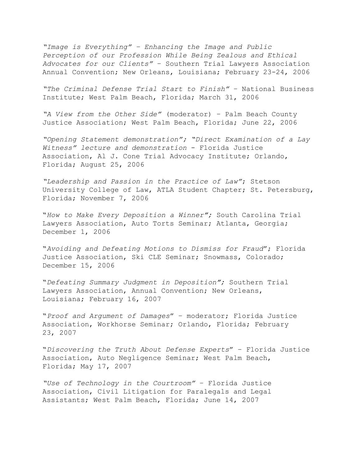*"Image is Everything" – Enhancing the Image and Public Perception of our Profession While Being Zealous and Ethical Advocates for our Clients"* – Southern Trial Lawyers Association Annual Convention; New Orleans, Louisiana; February 23-24, 2006

*"The Criminal Defense Trial Start to Finish"* – National Business Institute; West Palm Beach, Florida; March 31, 2006

*"A View from the Other Side"* (moderator) – Palm Beach County Justice Association; West Palm Beach, Florida; June 22, 2006

*"Opening Statement demonstration"; "Direct Examination of a Lay Witness" lecture and demonstration* - Florida Justice Association, Al J. Cone Trial Advocacy Institute; Orlando, Florida; August 25, 2006

*"Leadership and Passion in the Practice of Law"*; Stetson University College of Law, ATLA Student Chapter; St. Petersburg, Florida; November 7, 2006

"*How to Make Every Deposition a Winner";* South Carolina Trial Lawyers Association, Auto Torts Seminar; Atlanta, Georgia; December 1, 2006

"*Avoiding and Defeating Motions to Dismiss for Fraud*"; Florida Justice Association, Ski CLE Seminar; Snowmass, Colorado; December 15, 2006

"*Defeating Summary Judgment in Deposition";* Southern Trial Lawyers Association, Annual Convention; New Orleans, Louisiana; February 16, 2007

"*Proof and Argument of Damages*" – moderator; Florida Justice Association, Workhorse Seminar; Orlando, Florida; February 23, 2007

"*Discovering the Truth About Defense Experts*" – Florida Justice Association, Auto Negligence Seminar; West Palm Beach, Florida; May 17, 2007

*"Use of Technology in the Courtroom"* – Florida Justice Association, Civil Litigation for Paralegals and Legal Assistants; West Palm Beach, Florida; June 14, 2007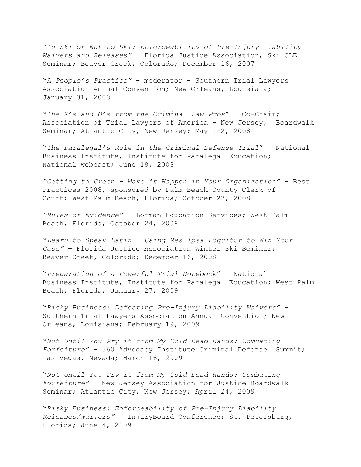"*To Ski or Not to Ski: Enforceability of Pre-Injury Liability Waivers and Releases"* – Florida Justice Association, Ski CLE Seminar; Beaver Creek, Colorado; December 16, 2007

"*A People's Practice"* – moderator – Southern Trial Lawyers Association Annual Convention; New Orleans, Louisiana; January 31, 2008

"*The X's and O's from the Criminal Law Pros*" – Co-Chair; Association of Trial Lawyers of America – New Jersey, Boardwalk Seminar; Atlantic City, New Jersey; May 1-2, 2008

"*The Paralegal's Role in the Criminal Defense Trial*" – National Business Institute, Institute for Paralegal Education; National webcast; June 18, 2008

*"Getting to Green – Make it Happen in Your Organization"* – Best Practices 2008, sponsored by Palm Beach County Clerk of Court; West Palm Beach, Florida; October 22, 2008

*"Rules of Evidence"* – Lorman Education Services; West Palm Beach, Florida; October 24, 2008

"*Learn to Speak Latin – Using Res Ipsa Loquitur to Win Your Case"* – Florida Justice Association Winter Ski Seminar; Beaver Creek, Colorado; December 16, 2008

"*Preparation of a Powerful Trial Notebook*" – National Business Institute, Institute for Paralegal Education; West Palm Beach, Florida; January 27, 2009

"*Risky Business: Defeating Pre-Injury Liability Waivers"* – Southern Trial Lawyers Association Annual Convention; New Orleans, Louisiana; February 19, 2009

"*Not Until You Pry it from My Cold Dead Hands: Combating Forfeiture"* – 360 Advocacy Institute Criminal Defense Summit; Las Vegas, Nevada; March 16, 2009

"*Not Until You Pry it from My Cold Dead Hands: Combating Forfeiture"* – New Jersey Association for Justice Boardwalk Seminar; Atlantic City, New Jersey; April 24, 2009

"*Risky Business: Enforceability of Pre-Injury Liability Releases/Waivers"* – InjuryBoard Conference; St. Petersburg, Florida; June 4, 2009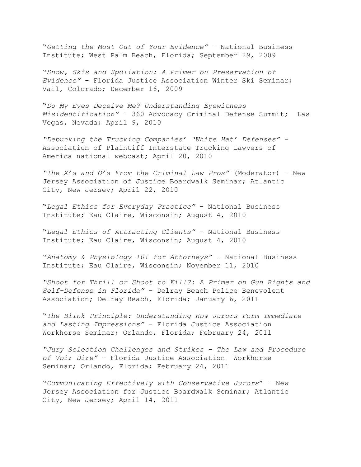"*Getting the Most Out of Your Evidence"* – National Business Institute; West Palm Beach, Florida; September 29, 2009

"*Snow, Skis and Spoliation: A Primer on Preservation of Evidence"* – Florida Justice Association Winter Ski Seminar; Vail, Colorado; December 16, 2009

"*Do My Eyes Deceive Me? Understanding Eyewitness Misidentification"* – 360 Advocacy Criminal Defense Summit; Las Vegas, Nevada; April 9, 2010

*"Debunking the Trucking Companies' 'White Hat' Defenses"* – Association of Plaintiff Interstate Trucking Lawyers of America national webcast; April 20, 2010

*"The X's and O's From the Criminal Law Pros"* (Moderator) – New Jersey Association of Justice Boardwalk Seminar; Atlantic City, New Jersey; April 22, 2010

"*Legal Ethics for Everyday Practice"* – National Business Institute; Eau Claire, Wisconsin; August 4, 2010

"*Legal Ethics of Attracting Clients"* – National Business Institute; Eau Claire, Wisconsin; August 4, 2010

"*Anatomy & Physiology 101 for Attorneys"* – National Business Institute; Eau Claire, Wisconsin; November 11, 2010

*"Shoot for Thrill or Shoot to Kill?: A Primer on Gun Rights and Self-Defense in Florida"* – Delray Beach Police Benevolent Association; Delray Beach, Florida; January 6, 2011

"*The Blink Principle: Understanding How Jurors Form Immediate and Lasting Impressions"* – Florida Justice Association Workhorse Seminar; Orlando, Florida; February 24, 2011

*"Jury Selection Challenges and Strikes – The Law and Procedure of Voir Dire"* - Florida Justice Association Workhorse Seminar; Orlando, Florida; February 24, 2011

"*Communicating Effectively with Conservative Jurors*" – New Jersey Association for Justice Boardwalk Seminar; Atlantic City, New Jersey; April 14, 2011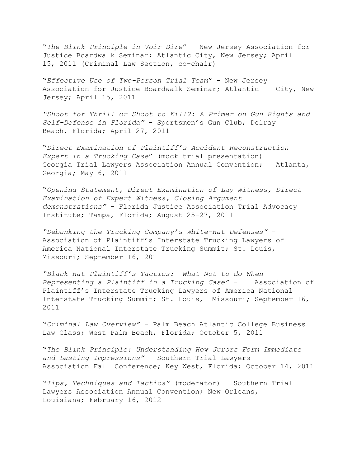"*The Blink Principle in Voir Dire*" – New Jersey Association for Justice Boardwalk Seminar; Atlantic City, New Jersey; April 15, 2011 (Criminal Law Section, co-chair)

"*Effective Use of Two-Person Trial Team*" – New Jersey Association for Justice Boardwalk Seminar; Atlantic City, New Jersey; April 15, 2011

*"Shoot for Thrill or Shoot to Kill?: A Primer on Gun Rights and Self-Defense in Florida"* – Sportsmen's Gun Club; Delray Beach, Florida; April 27, 2011

"*Direct Examination of Plaintiff's Accident Reconstruction Expert in a Trucking Case*" (mock trial presentation) – Georgia Trial Lawyers Association Annual Convention; Atlanta, Georgia; May 6, 2011

"*Opening Statement, Direct Examination of Lay Witness, Direct Examination of Expert Witness, Closing Argument demonstrations"* – Florida Justice Association Trial Advocacy Institute; Tampa, Florida; August 25-27, 2011

*"Debunking the Trucking Company's White-Hat Defenses"* – Association of Plaintiff's Interstate Trucking Lawyers of America National Interstate Trucking Summit; St. Louis, Missouri; September 16, 2011

*"Black Hat Plaintiff's Tactics: What Not to do When Representing a Plaintiff in a Trucking Case"* – Association of Plaintiff's Interstate Trucking Lawyers of America National Interstate Trucking Summit; St. Louis, Missouri; September 16, 2011

"*Criminal Law Overview"* – Palm Beach Atlantic College Business Law Class; West Palm Beach, Florida; October 5, 2011

"*The Blink Principle: Understanding How Jurors Form Immediate and Lasting Impressions"* – Southern Trial Lawyers Association Fall Conference; Key West, Florida; October 14, 2011

"*Tips, Techniques and Tactics"* (moderator) – Southern Trial Lawyers Association Annual Convention; New Orleans, Louisiana; February 16, 2012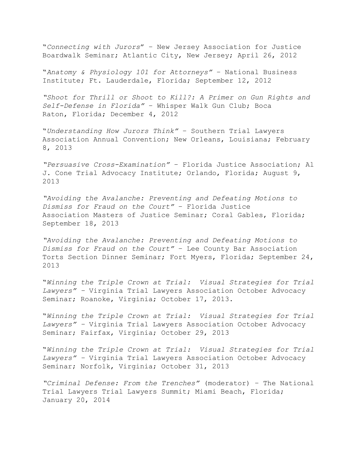"*Connecting with Jurors*" – New Jersey Association for Justice Boardwalk Seminar; Atlantic City, New Jersey; April 26, 2012

"*Anatomy & Physiology 101 for Attorneys"* – National Business Institute; Ft. Lauderdale, Florida; September 12, 2012

*"Shoot for Thrill or Shoot to Kill?: A Primer on Gun Rights and Self-Defense in Florida"* – Whisper Walk Gun Club; Boca Raton, Florida; December 4, 2012

"*Understanding How Jurors Think"* – Southern Trial Lawyers Association Annual Convention; New Orleans, Louisiana; February 8, 2013

*"Persuasive Cross-Examination"* – Florida Justice Association; Al J. Cone Trial Advocacy Institute; Orlando, Florida; August 9, 2013

*"Avoiding the Avalanche: Preventing and Defeating Motions to Dismiss for Fraud on the Court"* – Florida Justice Association Masters of Justice Seminar; Coral Gables, Florida; September 18, 2013

*"Avoiding the Avalanche: Preventing and Defeating Motions to Dismiss for Fraud on the Court"* – Lee County Bar Association Torts Section Dinner Seminar; Fort Myers, Florida; September 24, 2013

"*Winning the Triple Crown at Trial: Visual Strategies for Trial Lawyers" –* Virginia Trial Lawyers Association October Advocacy Seminar; Roanoke, Virginia; October 17, 2013.

"*Winning the Triple Crown at Trial: Visual Strategies for Trial Lawyers" –* Virginia Trial Lawyers Association October Advocacy Seminar; Fairfax, Virginia; October 29, 2013

"*Winning the Triple Crown at Trial: Visual Strategies for Trial Lawyers" –* Virginia Trial Lawyers Association October Advocacy Seminar; Norfolk, Virginia; October 31, 2013

*"Criminal Defense: From the Trenches"* (moderator) – The National Trial Lawyers Trial Lawyers Summit; Miami Beach, Florida; January 20, 2014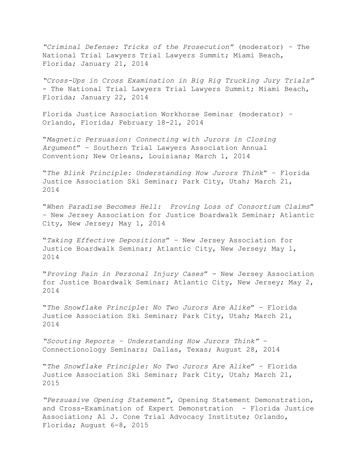*"Criminal Defense: Tricks of the Prosecution"* (moderator) – The National Trial Lawyers Trial Lawyers Summit; Miami Beach, Florida; January 21, 2014

*"Cross-Ups in Cross Examination in Big Rig Trucking Jury Trials"* - The National Trial Lawyers Trial Lawyers Summit; Miami Beach, Florida; January 22, 2014

Florida Justice Association Workhorse Seminar (moderator) – Orlando, Florida; February 18-21, 2014

"*Magnetic Persuasion: Connecting with Jurors in Closing Argument*" – Southern Trial Lawyers Association Annual Convention; New Orleans, Louisiana; March 1, 2014

"*The Blink Principle: Understanding How Jurors Think*" – Florida Justice Association Ski Seminar; Park City, Utah; March 21, 2014

"*When Paradise Becomes Hell: Proving Loss of Consortium Claims*" – New Jersey Association for Justice Boardwalk Seminar; Atlantic City, New Jersey; May 1, 2014

"*Taking Effective Depositions*" – New Jersey Association for Justice Boardwalk Seminar; Atlantic City, New Jersey; May 1, 2014

"*Proving Pain in Personal Injury Cases*" - New Jersey Association for Justice Boardwalk Seminar; Atlantic City, New Jersey; May 2, 2014

"*The Snowflake Principle: No Two Jurors Are Alike*" – Florida Justice Association Ski Seminar; Park City, Utah; March 21, 2014

*"Scouting Reports – Understanding How Jurors Think"* – Connectionology Seminars; Dallas, Texas; August 28, 2014

"*The Snowflake Principle: No Two Jurors Are Alike*" – Florida Justice Association Ski Seminar; Park City, Utah; March 21, 2015

*"Persuasive Opening Statement"*, Opening Statement Demonstration, and Cross-Examination of Expert Demonstration – Florida Justice Association; Al J. Cone Trial Advocacy Institute; Orlando, Florida; August 6-8, 2015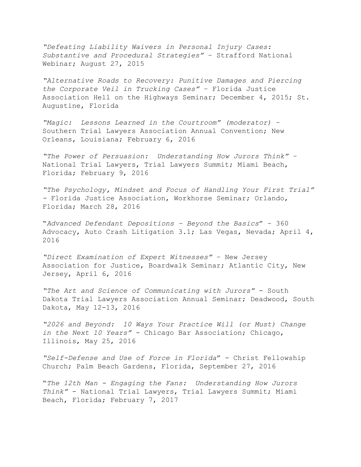*"Defeating Liability Waivers in Personal Injury Cases: Substantive and Procedural Strategies"* – Strafford National Webinar; August 27, 2015

*"Alternative Roads to Recovery: Punitive Damages and Piercing the Corporate Veil in Trucking Cases"* – Florida Justice Association Hell on the Highways Seminar; December 4, 2015; St. Augustine, Florida

*"Magic: Lessons Learned in the Courtroom" (moderator)* – Southern Trial Lawyers Association Annual Convention; New Orleans, Louisiana; February 6, 2016

*"The Power of Persuasion: Understanding How Jurors Think"* – National Trial Lawyers, Trial Lawyers Summit; Miami Beach, Florida; February 9, 2016

*"The Psychology, Mindset and Focus of Handling Your First Trial" -* Florida Justice Association, Workhorse Seminar; Orlando, Florida; March 28, 2016

"*Advanced Defendant Depositions – Beyond the Basics*" – 360 Advocacy, Auto Crash Litigation 3.1; Las Vegas, Nevada; April 4, 2016

*"Direct Examination of Expert Witnesses"* – New Jersey Association for Justice, Boardwalk Seminar; Atlantic City, New Jersey, April 6, 2016

*"The Art and Science of Communicating with Jurors"* - South Dakota Trial Lawyers Association Annual Seminar; Deadwood, South Dakota, May 12-13, 2016

*"2026 and Beyond: 10 Ways Your Practice Will (or Must) Change in the Next 10 Years"* - Chicago Bar Association; Chicago, Illinois, May 25, 2016

*"Self-Defense and Use of Force in Florida*" - Christ Fellowship Church; Palm Beach Gardens, Florida, September 27, 2016

"*The 12th Man - Engaging the Fans: Understanding How Jurors Think"* - National Trial Lawyers, Trial Lawyers Summit; Miami Beach, Florida; February 7, 2017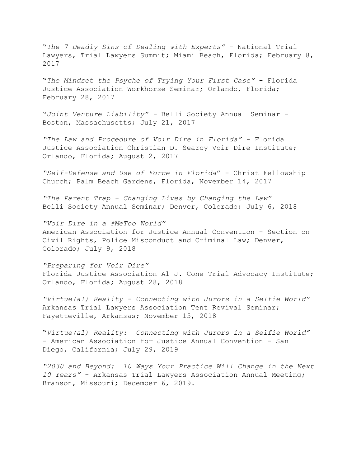"*The 7 Deadly Sins of Dealing with Experts"* - National Trial Lawyers, Trial Lawyers Summit; Miami Beach, Florida; February 8, 2017

"*The Mindset the Psyche of Trying Your First Case"* - Florida Justice Association Workhorse Seminar; Orlando, Florida; February 28, 2017

"*Joint Venture Liability" -* Belli Society Annual Seminar - Boston, Massachusetts; July 21, 2017

*"The Law and Procedure of Voir Dire in Florida"* - Florida Justice Association Christian D. Searcy Voir Dire Institute; Orlando, Florida; August 2, 2017

*"Self-Defense and Use of Force in Florida*" - Christ Fellowship Church; Palm Beach Gardens, Florida, November 14, 2017

*"The Parent Trap - Changing Lives by Changing the Law"* Belli Society Annual Seminar; Denver, Colorado; July 6, 2018

*"Voir Dire in a #MeToo World"* American Association for Justice Annual Convention - Section on Civil Rights, Police Misconduct and Criminal Law; Denver, Colorado; July 9, 2018

*"Preparing for Voir Dire"* Florida Justice Association Al J. Cone Trial Advocacy Institute; Orlando, Florida; August 28, 2018

*"Virtue(al) Reality - Connecting with Jurors in a Selfie World"* Arkansas Trial Lawyers Association Tent Revival Seminar; Fayetteville, Arkansas; November 15, 2018

"*Virtue(al) Reality: Connecting with Jurors in a Selfie World"* - American Association for Justice Annual Convention - San Diego, California; July 29, 2019

*"2030 and Beyond: 10 Ways Your Practice Will Change in the Next 10 Years"* - Arkansas Trial Lawyers Association Annual Meeting; Branson, Missouri; December 6, 2019.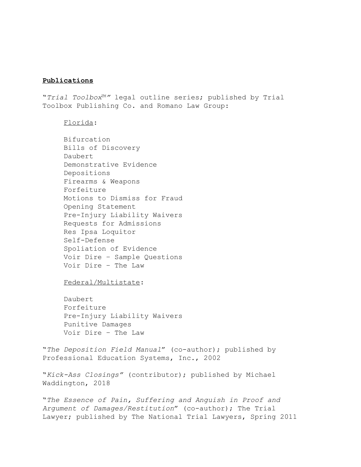#### **Publications**

"*Trial Toolbox™"* legal outline series; published by Trial Toolbox Publishing Co. and Romano Law Group:

Florida:

Bifurcation Bills of Discovery Daubert Demonstrative Evidence Depositions Firearms & Weapons Forfeiture Motions to Dismiss for Fraud Opening Statement Pre-Injury Liability Waivers Requests for Admissions Res Ipsa Loquitor Self-Defense Spoliation of Evidence Voir Dire – Sample Questions Voir Dire – The Law

Federal/Multistate:

Daubert Forfeiture Pre-Injury Liability Waivers Punitive Damages Voir Dire – The Law

"*The Deposition Field Manual*" (co-author); published by Professional Education Systems, Inc., 2002

"*Kick-Ass Closings"* (contributor); published by Michael Waddington, 2018

"*The Essence of Pain, Suffering and Anguish in Proof and Argument of Damages/Restitution*" (co-author); The Trial Lawyer; published by The National Trial Lawyers, Spring 2011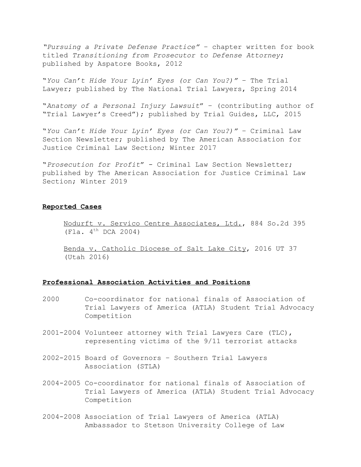*"Pursuing a Private Defense Practice"* – chapter written for book titled *Transitioning from Prosecutor to Defense Attorney*; published by Aspatore Books, 2012

"*You Can't Hide Your Lyin' Eyes (or Can You?)"* – The Trial Lawyer; published by The National Trial Lawyers, Spring 2014

"*Anatomy of a Personal Injury Lawsuit*" – (contributing author of "Trial Lawyer's Creed"); published by Trial Guides, LLC, 2015

"*You Can't Hide Your Lyin' Eyes (or Can You?)"* – Criminal Law Section Newsletter; published by The American Association for Justice Criminal Law Section; Winter 2017

"*Prosecution for Profit*" - Criminal Law Section Newsletter; published by The American Association for Justice Criminal Law Section; Winter 2019

#### **Reported Cases**

Nodurft v. Servico Centre Associates, Ltd., 884 So.2d 395  $($ Fla. 4<sup>th</sup> DCA 2004)

Benda v. Catholic Diocese of Salt Lake City, 2016 UT 37 (Utah 2016)

#### **Professional Association Activities and Positions**

- 2000 Co-coordinator for national finals of Association of Trial Lawyers of America (ATLA) Student Trial Advocacy Competition
- 2001-2004 Volunteer attorney with Trial Lawyers Care (TLC), representing victims of the 9/11 terrorist attacks
- 2002-2015 Board of Governors Southern Trial Lawyers Association (STLA)
- 2004-2005 Co-coordinator for national finals of Association of Trial Lawyers of America (ATLA) Student Trial Advocacy Competition
- 2004-2008 Association of Trial Lawyers of America (ATLA) Ambassador to Stetson University College of Law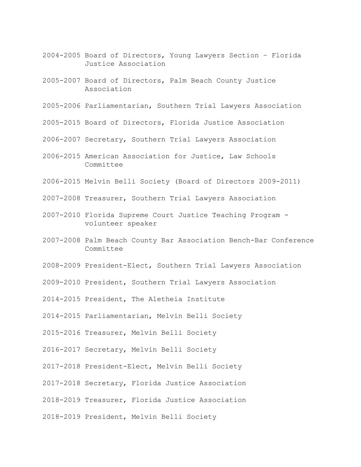- 2004-2005 Board of Directors, Young Lawyers Section Florida Justice Association
- 2005-2007 Board of Directors, Palm Beach County Justice Association
- 2005-2006 Parliamentarian, Southern Trial Lawyers Association
- 2005-2015 Board of Directors, Florida Justice Association
- 2006-2007 Secretary, Southern Trial Lawyers Association
- 2006-2015 American Association for Justice, Law Schools Committee
- 2006-2015 Melvin Belli Society (Board of Directors 2009-2011)
- 2007-2008 Treasurer, Southern Trial Lawyers Association
- 2007-2010 Florida Supreme Court Justice Teaching Program volunteer speaker
- 2007-2008 Palm Beach County Bar Association Bench-Bar Conference Committee
- 2008-2009 President-Elect, Southern Trial Lawyers Association
- 2009-2010 President, Southern Trial Lawyers Association
- 2014-2015 President, The Aletheia Institute
- 2014-2015 Parliamentarian, Melvin Belli Society
- 2015-2016 Treasurer, Melvin Belli Society
- 2016-2017 Secretary, Melvin Belli Society
- 2017-2018 President-Elect, Melvin Belli Society
- 2017-2018 Secretary, Florida Justice Association
- 2018-2019 Treasurer, Florida Justice Association
- 2018-2019 President, Melvin Belli Society